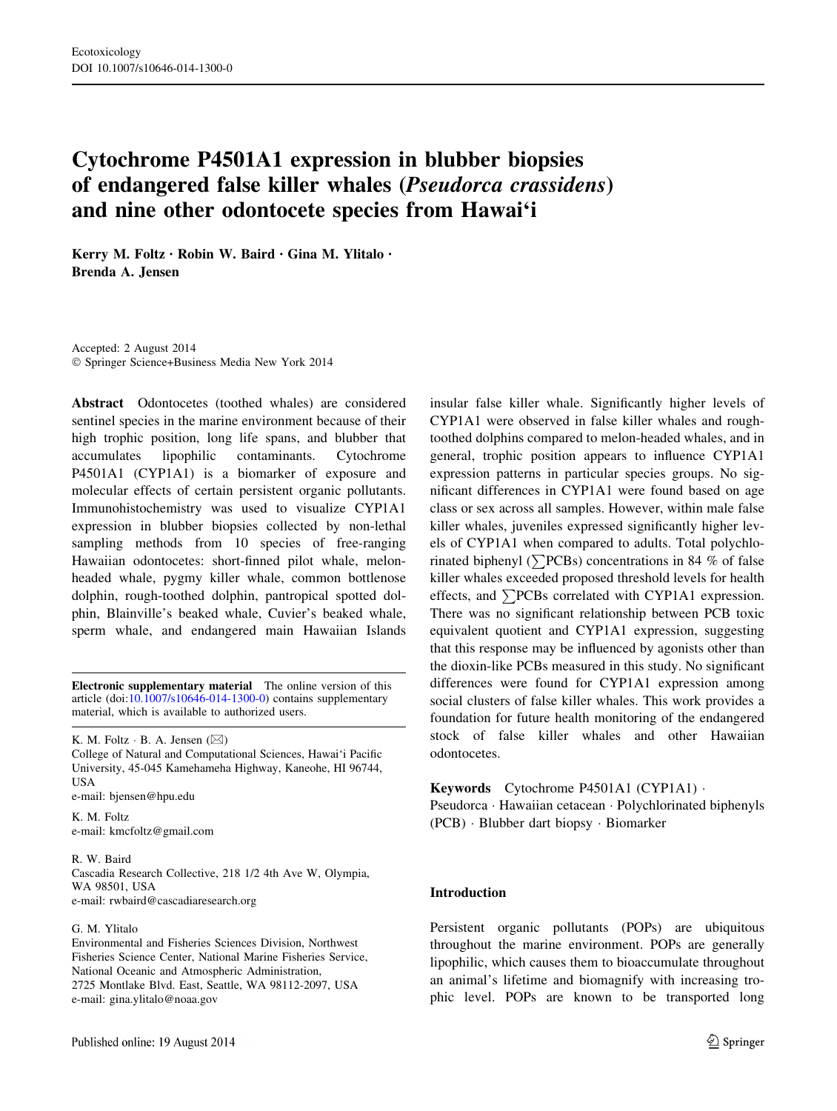# Cytochrome P4501A1 expression in blubber biopsies of endangered false killer whales (Pseudorca crassidens) and nine other odontocete species from Hawai'i

Kerry M. Foltz • Robin W. Baird • Gina M. Ylitalo • Brenda A. Jensen

Accepted: 2 August 2014 - Springer Science+Business Media New York 2014

Abstract Odontocetes (toothed whales) are considered sentinel species in the marine environment because of their high trophic position, long life spans, and blubber that accumulates lipophilic contaminants. Cytochrome P4501A1 (CYP1A1) is a biomarker of exposure and molecular effects of certain persistent organic pollutants. Immunohistochemistry was used to visualize CYP1A1 expression in blubber biopsies collected by non-lethal sampling methods from 10 species of free-ranging Hawaiian odontocetes: short-finned pilot whale, melonheaded whale, pygmy killer whale, common bottlenose dolphin, rough-toothed dolphin, pantropical spotted dolphin, Blainville's beaked whale, Cuvier's beaked whale, sperm whale, and endangered main Hawaiian Islands

Electronic supplementary material The online version of this article (doi:[10.1007/s10646-014-1300-0\)](http://dx.doi.org/10.1007/s10646-014-1300-0) contains supplementary material, which is available to authorized users.

K. M. Foltz  $\cdot$  B. A. Jensen ( $\boxtimes$ )

College of Natural and Computational Sciences, Hawai'i Pacific University, 45-045 Kamehameha Highway, Kaneohe, HI 96744, USA

e-mail: bjensen@hpu.edu

K. M. Foltz e-mail: kmcfoltz@gmail.com

R. W. Baird

Cascadia Research Collective, 218 1/2 4th Ave W, Olympia, WA 98501, USA

e-mail: rwbaird@cascadiaresearch.org

## G. M. Ylitalo

Environmental and Fisheries Sciences Division, Northwest Fisheries Science Center, National Marine Fisheries Service, National Oceanic and Atmospheric Administration, 2725 Montlake Blvd. East, Seattle, WA 98112-2097, USA e-mail: gina.ylitalo@noaa.gov

insular false killer whale. Significantly higher levels of CYP1A1 were observed in false killer whales and roughtoothed dolphins compared to melon-headed whales, and in general, trophic position appears to influence CYP1A1 expression patterns in particular species groups. No significant differences in CYP1A1 were found based on age class or sex across all samples. However, within male false killer whales, juveniles expressed significantly higher levels of CYP1A1 when compared to adults. Total polychlorinated biphenyl ( $\sum$ PCBs) concentrations in 84 % of false killer whales exceeded proposed threshold levels for health effects, and  $\sum$ PCBs correlated with CYP1A1 expression. There was no significant relationship between PCB toxic equivalent quotient and CYP1A1 expression, suggesting that this response may be influenced by agonists other than the dioxin-like PCBs measured in this study. No significant differences were found for CYP1A1 expression among social clusters of false killer whales. This work provides a foundation for future health monitoring of the endangered stock of false killer whales and other Hawaiian odontocetes.

Keywords Cytochrome P4501A1 (CYP1A1) -

Pseudorca - Hawaiian cetacean - Polychlorinated biphenyls (PCB) - Blubber dart biopsy - Biomarker

## Introduction

Persistent organic pollutants (POPs) are ubiquitous throughout the marine environment. POPs are generally lipophilic, which causes them to bioaccumulate throughout an animal's lifetime and biomagnify with increasing trophic level. POPs are known to be transported long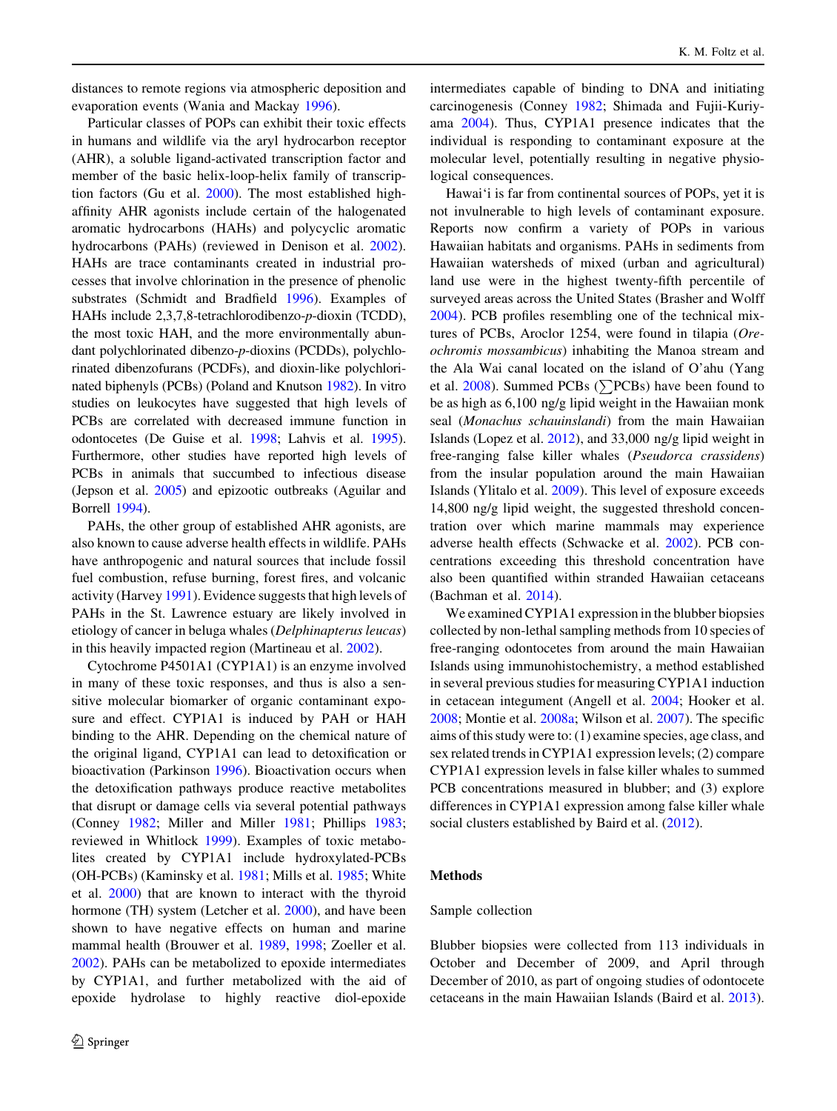distances to remote regions via atmospheric deposition and evaporation events (Wania and Mackay [1996\)](#page-11-0).

Particular classes of POPs can exhibit their toxic effects in humans and wildlife via the aryl hydrocarbon receptor (AHR), a soluble ligand-activated transcription factor and member of the basic helix-loop-helix family of transcription factors (Gu et al. [2000\)](#page-10-0). The most established highaffinity AHR agonists include certain of the halogenated aromatic hydrocarbons (HAHs) and polycyclic aromatic hydrocarbons (PAHs) (reviewed in Denison et al. [2002](#page-10-0)). HAHs are trace contaminants created in industrial processes that involve chlorination in the presence of phenolic substrates (Schmidt and Bradfield [1996](#page-11-0)). Examples of HAHs include 2,3,7,8-tetrachlorodibenzo-p-dioxin (TCDD), the most toxic HAH, and the more environmentally abundant polychlorinated dibenzo-p-dioxins (PCDDs), polychlorinated dibenzofurans (PCDFs), and dioxin-like polychlorinated biphenyls (PCBs) (Poland and Knutson [1982\)](#page-11-0). In vitro studies on leukocytes have suggested that high levels of PCBs are correlated with decreased immune function in odontocetes (De Guise et al. [1998](#page-10-0); Lahvis et al. [1995](#page-10-0)). Furthermore, other studies have reported high levels of PCBs in animals that succumbed to infectious disease (Jepson et al. [2005](#page-10-0)) and epizootic outbreaks (Aguilar and Borrell [1994\)](#page-9-0).

PAHs, the other group of established AHR agonists, are also known to cause adverse health effects in wildlife. PAHs have anthropogenic and natural sources that include fossil fuel combustion, refuse burning, forest fires, and volcanic activity (Harvey [1991](#page-10-0)). Evidence suggests that high levels of PAHs in the St. Lawrence estuary are likely involved in etiology of cancer in beluga whales (Delphinapterus leucas) in this heavily impacted region (Martineau et al. [2002\)](#page-10-0).

Cytochrome P4501A1 (CYP1A1) is an enzyme involved in many of these toxic responses, and thus is also a sensitive molecular biomarker of organic contaminant exposure and effect. CYP1A1 is induced by PAH or HAH binding to the AHR. Depending on the chemical nature of the original ligand, CYP1A1 can lead to detoxification or bioactivation (Parkinson [1996\)](#page-11-0). Bioactivation occurs when the detoxification pathways produce reactive metabolites that disrupt or damage cells via several potential pathways (Conney [1982](#page-10-0); Miller and Miller [1981](#page-11-0); Phillips [1983](#page-11-0); reviewed in Whitlock [1999\)](#page-11-0). Examples of toxic metabolites created by CYP1A1 include hydroxylated-PCBs (OH-PCBs) (Kaminsky et al. [1981;](#page-10-0) Mills et al. [1985](#page-11-0); White et al. [2000](#page-11-0)) that are known to interact with the thyroid hormone (TH) system (Letcher et al. [2000](#page-10-0)), and have been shown to have negative effects on human and marine mammal health (Brouwer et al. [1989,](#page-9-0) [1998;](#page-9-0) Zoeller et al. [2002\)](#page-11-0). PAHs can be metabolized to epoxide intermediates by CYP1A1, and further metabolized with the aid of epoxide hydrolase to highly reactive diol-epoxide intermediates capable of binding to DNA and initiating carcinogenesis (Conney [1982;](#page-10-0) Shimada and Fujii-Kuriyama [2004](#page-11-0)). Thus, CYP1A1 presence indicates that the individual is responding to contaminant exposure at the molecular level, potentially resulting in negative physiological consequences.

Hawai'i is far from continental sources of POPs, yet it is not invulnerable to high levels of contaminant exposure. Reports now confirm a variety of POPs in various Hawaiian habitats and organisms. PAHs in sediments from Hawaiian watersheds of mixed (urban and agricultural) land use were in the highest twenty-fifth percentile of surveyed areas across the United States (Brasher and Wolff [2004](#page-9-0)). PCB profiles resembling one of the technical mixtures of PCBs, Aroclor 1254, were found in tilapia (Oreochromis mossambicus) inhabiting the Manoa stream and the Ala Wai canal located on the island of O'ahu (Yang et al.  $2008$ ). Summed PCBs ( $\sum$ PCBs) have been found to be as high as 6,100 ng/g lipid weight in the Hawaiian monk seal (Monachus schauinslandi) from the main Hawaiian Islands (Lopez et al. [2012\)](#page-10-0), and 33,000 ng/g lipid weight in free-ranging false killer whales (Pseudorca crassidens) from the insular population around the main Hawaiian Islands (Ylitalo et al. [2009\)](#page-11-0). This level of exposure exceeds 14,800 ng/g lipid weight, the suggested threshold concentration over which marine mammals may experience adverse health effects (Schwacke et al. [2002\)](#page-11-0). PCB concentrations exceeding this threshold concentration have also been quantified within stranded Hawaiian cetaceans (Bachman et al. [2014](#page-9-0)).

We examined CYP1A1 expression in the blubber biopsies collected by non-lethal sampling methods from 10 species of free-ranging odontocetes from around the main Hawaiian Islands using immunohistochemistry, a method established in several previous studies for measuring CYP1A1 induction in cetacean integument (Angell et al. [2004](#page-9-0); Hooker et al. [2008](#page-10-0); Montie et al. [2008a;](#page-11-0) Wilson et al. [2007](#page-11-0)). The specific aims of this study were to: (1) examine species, age class, and sex related trends in CYP1A1 expression levels; (2) compare CYP1A1 expression levels in false killer whales to summed PCB concentrations measured in blubber; and (3) explore differences in CYP1A1 expression among false killer whale social clusters established by Baird et al. ([2012\)](#page-9-0).

## Methods

## Sample collection

Blubber biopsies were collected from 113 individuals in October and December of 2009, and April through December of 2010, as part of ongoing studies of odontocete cetaceans in the main Hawaiian Islands (Baird et al. [2013](#page-9-0)).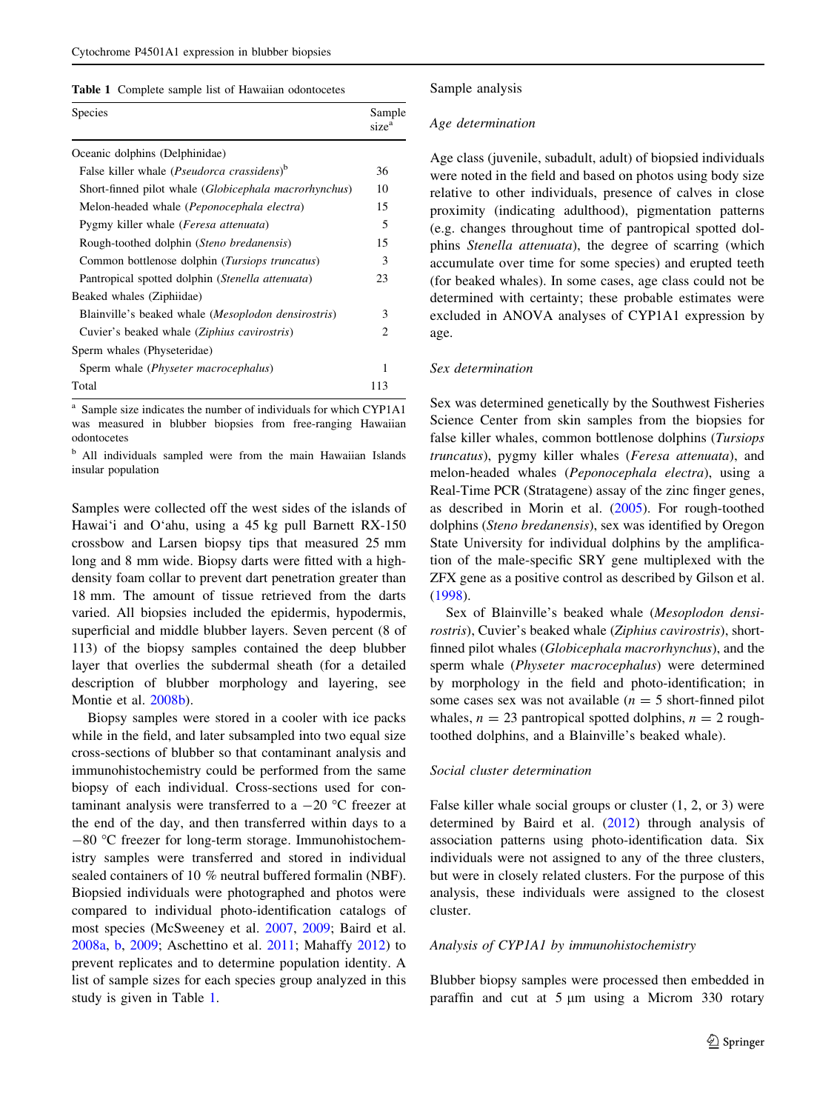| Species                                                        | Sample<br>size <sup>a</sup> |
|----------------------------------------------------------------|-----------------------------|
| Oceanic dolphins (Delphinidae)                                 |                             |
| False killer whale (Pseudorca crassidens) <sup>b</sup>         | 36                          |
| Short-finned pilot whale ( <i>Globicephala macrorhynchus</i> ) | 10                          |
| Melon-headed whale (Peponocephala electra)                     | 15                          |
| Pygmy killer whale (Feresa attenuata)                          | 5                           |
| Rough-toothed dolphin (Steno bredanensis)                      | 15                          |
| Common bottlenose dolphin (Tursiops truncatus)                 | 3                           |
| Pantropical spotted dolphin (Stenella attenuata)               | 23                          |
| Beaked whales (Ziphiidae)                                      |                             |
| Blainville's beaked whale ( <i>Mesoplodon densirostris</i> )   | 3                           |
| Cuvier's beaked whale (Ziphius cavirostris)                    | $\overline{c}$              |
| Sperm whales (Physeteridae)                                    |                             |
| Sperm whale (Physeter macrocephalus)                           | 1                           |
| Total                                                          | 113                         |

<sup>a</sup> Sample size indicates the number of individuals for which CYP1A1 was measured in blubber biopsies from free-ranging Hawaiian odontocetes

<sup>b</sup> All individuals sampled were from the main Hawaiian Islands insular population

Samples were collected off the west sides of the islands of Hawai'i and O'ahu, using a 45 kg pull Barnett RX-150 crossbow and Larsen biopsy tips that measured 25 mm long and 8 mm wide. Biopsy darts were fitted with a highdensity foam collar to prevent dart penetration greater than 18 mm. The amount of tissue retrieved from the darts varied. All biopsies included the epidermis, hypodermis, superficial and middle blubber layers. Seven percent (8 of 113) of the biopsy samples contained the deep blubber layer that overlies the subdermal sheath (for a detailed description of blubber morphology and layering, see Montie et al. [2008b\)](#page-11-0).

Biopsy samples were stored in a cooler with ice packs while in the field, and later subsampled into two equal size cross-sections of blubber so that contaminant analysis and immunohistochemistry could be performed from the same biopsy of each individual. Cross-sections used for contaminant analysis were transferred to a  $-20$  °C freezer at the end of the day, and then transferred within days to a  $-80$  °C freezer for long-term storage. Immunohistochemistry samples were transferred and stored in individual sealed containers of 10 % neutral buffered formalin (NBF). Biopsied individuals were photographed and photos were compared to individual photo-identification catalogs of most species (McSweeney et al. [2007,](#page-10-0) [2009](#page-10-0); Baird et al. [2008a](#page-9-0), [b,](#page-9-0) [2009;](#page-9-0) Aschettino et al. [2011](#page-9-0); Mahaffy [2012](#page-10-0)) to prevent replicates and to determine population identity. A list of sample sizes for each species group analyzed in this study is given in Table 1.

#### Sample analysis

## Age determination

Age class (juvenile, subadult, adult) of biopsied individuals were noted in the field and based on photos using body size relative to other individuals, presence of calves in close proximity (indicating adulthood), pigmentation patterns (e.g. changes throughout time of pantropical spotted dolphins Stenella attenuata), the degree of scarring (which accumulate over time for some species) and erupted teeth (for beaked whales). In some cases, age class could not be determined with certainty; these probable estimates were excluded in ANOVA analyses of CYP1A1 expression by age.

## Sex determination

Sex was determined genetically by the Southwest Fisheries Science Center from skin samples from the biopsies for false killer whales, common bottlenose dolphins (Tursiops truncatus), pygmy killer whales (Feresa attenuata), and melon-headed whales (Peponocephala electra), using a Real-Time PCR (Stratagene) assay of the zinc finger genes, as described in Morin et al. [\(2005](#page-11-0)). For rough-toothed dolphins (Steno bredanensis), sex was identified by Oregon State University for individual dolphins by the amplification of the male-specific SRY gene multiplexed with the ZFX gene as a positive control as described by Gilson et al. [\(1998](#page-10-0)).

Sex of Blainville's beaked whale (Mesoplodon densirostris), Cuvier's beaked whale (Ziphius cavirostris), shortfinned pilot whales (Globicephala macrorhynchus), and the sperm whale (Physeter macrocephalus) were determined by morphology in the field and photo-identification; in some cases sex was not available  $(n = 5$  short-finned pilot whales,  $n = 23$  pantropical spotted dolphins,  $n = 2$  roughtoothed dolphins, and a Blainville's beaked whale).

## Social cluster determination

False killer whale social groups or cluster (1, 2, or 3) were determined by Baird et al. [\(2012](#page-9-0)) through analysis of association patterns using photo-identification data. Six individuals were not assigned to any of the three clusters, but were in closely related clusters. For the purpose of this analysis, these individuals were assigned to the closest cluster.

## Analysis of CYP1A1 by immunohistochemistry

Blubber biopsy samples were processed then embedded in paraffin and cut at  $5 \mu m$  using a Microm 330 rotary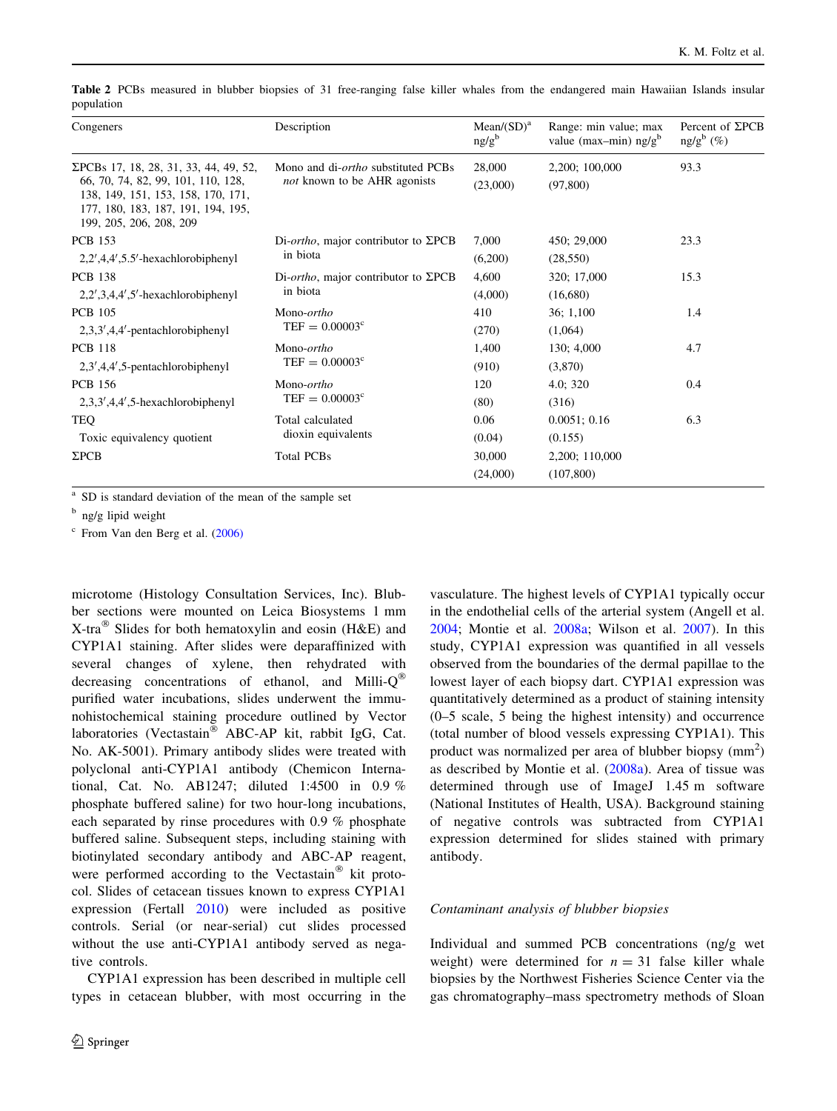<span id="page-3-0"></span>Table 2 PCBs measured in blubber biopsies of 31 free-ranging false killer whales from the endangered main Hawaiian Islands insular population

| Congeners                                                                                                                                                                          | Description                                                                | Mean(SD) <sup>a</sup><br>ng/g <sup>b</sup> | Range: min value; max<br>value (max-min) $ng/gb$ | Percent of $\Sigma$ PCB<br>ng/g <sup>b</sup> (%) |
|------------------------------------------------------------------------------------------------------------------------------------------------------------------------------------|----------------------------------------------------------------------------|--------------------------------------------|--------------------------------------------------|--------------------------------------------------|
| ΣPCBs 17, 18, 28, 31, 33, 44, 49, 52,<br>66, 70, 74, 82, 99, 101, 110, 128,<br>138, 149, 151, 153, 158, 170, 171,<br>177, 180, 183, 187, 191, 194, 195,<br>199, 205, 206, 208, 209 | Mono and di- <i>ortho</i> substituted PCBs<br>not known to be AHR agonists | 28,000<br>(23,000)                         | 2,200; 100,000<br>(97, 800)                      | 93.3                                             |
| <b>PCB</b> 153                                                                                                                                                                     | Di- <i>ortho</i> , major contributor to $\Sigma PCB$<br>in biota           | 7,000                                      | 450; 29,000                                      | 23.3                                             |
| $2,2',4,4',5.5'$ -hexachlorobiphenyl                                                                                                                                               |                                                                            | (6,200)                                    | (28, 550)                                        |                                                  |
| <b>PCB 138</b>                                                                                                                                                                     | Di- <i>ortho</i> , major contributor to $\Sigma PCB$<br>in biota           | 4,600                                      | 320; 17,000                                      | 15.3                                             |
| $2,2',3,4,4',5'$ -hexachlorobiphenyl                                                                                                                                               |                                                                            | (4,000)                                    | (16,680)                                         |                                                  |
| <b>PCB 105</b>                                                                                                                                                                     | Mono- <i>ortho</i><br>$TEF = 0.00003^c$                                    | 410                                        | 36; 1,100                                        | 1.4                                              |
| $2,3,3',4,4'-pentachlorobiphenyl$                                                                                                                                                  |                                                                            | (270)                                      | (1,064)                                          |                                                  |
| <b>PCB 118</b>                                                                                                                                                                     | Mono- <i>ortho</i><br>$TEF = 0.00003^c$                                    | 1,400                                      | 130; 4,000                                       | 4.7                                              |
| $2,3',4,4',5$ -pentachlorobiphenyl                                                                                                                                                 |                                                                            | (910)                                      | (3,870)                                          |                                                  |
| <b>PCB 156</b>                                                                                                                                                                     | Mono- <i>ortho</i><br>$TEF = 0.00003^c$                                    | 120                                        | 4.0; 320                                         | 0.4                                              |
| $2,3,3',4,4',5$ -hexachlorobiphenyl                                                                                                                                                |                                                                            | (80)                                       | (316)                                            |                                                  |
| TEQ                                                                                                                                                                                | Total calculated<br>dioxin equivalents                                     | 0.06                                       | 0.0051; 0.16                                     | 6.3                                              |
| Toxic equivalency quotient                                                                                                                                                         |                                                                            | (0.04)                                     | (0.155)                                          |                                                  |
| $\Sigma$ PCB                                                                                                                                                                       | <b>Total PCBs</b>                                                          | 30,000                                     | 2,200; 110,000                                   |                                                  |
|                                                                                                                                                                                    |                                                                            | (24,000)                                   | (107, 800)                                       |                                                  |

<sup>a</sup> SD is standard deviation of the mean of the sample set

 $<sup>b</sup>$  ng/g lipid weight</sup>

 $\degree$  From Van den Berg et al. ([2006\)](#page-11-0)

microtome (Histology Consultation Services, Inc). Blubber sections were mounted on Leica Biosystems 1 mm X-tra<sup>®</sup> Slides for both hematoxylin and eosin (H&E) and CYP1A1 staining. After slides were deparaffinized with several changes of xylene, then rehydrated with decreasing concentrations of ethanol, and Milli-Q purified water incubations, slides underwent the immunohistochemical staining procedure outlined by Vector laboratories (Vectastain  $\overline{\bullet}$  ABC-AP kit, rabbit IgG, Cat. No. AK-5001). Primary antibody slides were treated with polyclonal anti-CYP1A1 antibody (Chemicon International, Cat. No. AB1247; diluted 1:4500 in 0.9 % phosphate buffered saline) for two hour-long incubations, each separated by rinse procedures with 0.9 % phosphate buffered saline. Subsequent steps, including staining with biotinylated secondary antibody and ABC-AP reagent, were performed according to the Vectastain $^{\circledR}$  kit protocol. Slides of cetacean tissues known to express CYP1A1 expression (Fertall [2010](#page-10-0)) were included as positive controls. Serial (or near-serial) cut slides processed without the use anti-CYP1A1 antibody served as negative controls.

CYP1A1 expression has been described in multiple cell types in cetacean blubber, with most occurring in the

vasculature. The highest levels of CYP1A1 typically occur in the endothelial cells of the arterial system (Angell et al. [2004](#page-9-0); Montie et al. [2008a](#page-11-0); Wilson et al. [2007](#page-11-0)). In this study, CYP1A1 expression was quantified in all vessels observed from the boundaries of the dermal papillae to the lowest layer of each biopsy dart. CYP1A1 expression was quantitatively determined as a product of staining intensity (0–5 scale, 5 being the highest intensity) and occurrence (total number of blood vessels expressing CYP1A1). This product was normalized per area of blubber biopsy  $(mm<sup>2</sup>)$ as described by Montie et al. ([2008a](#page-11-0)). Area of tissue was determined through use of ImageJ 1.45 m software (National Institutes of Health, USA). Background staining of negative controls was subtracted from CYP1A1 expression determined for slides stained with primary antibody.

## Contaminant analysis of blubber biopsies

Individual and summed PCB concentrations (ng/g wet weight) were determined for  $n = 31$  false killer whale biopsies by the Northwest Fisheries Science Center via the gas chromatography–mass spectrometry methods of Sloan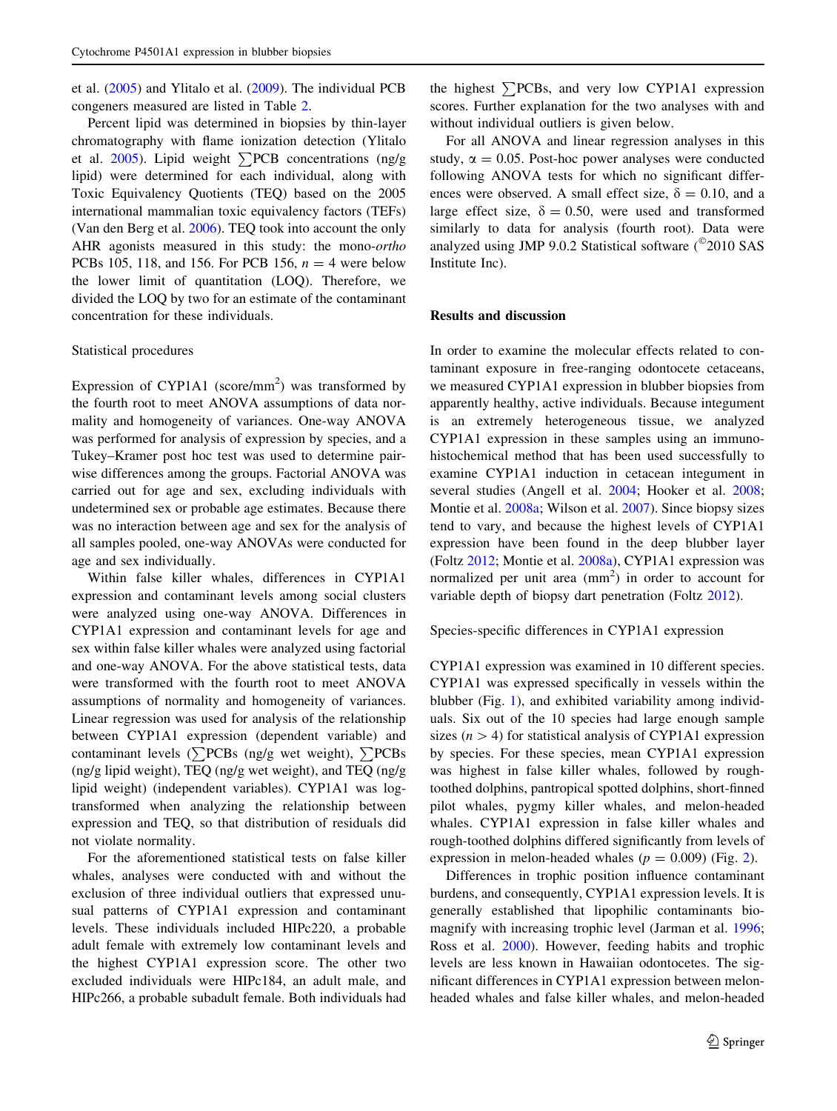et al. ([2005\)](#page-11-0) and Ylitalo et al. [\(2009\)](#page-11-0). The individual PCB congeners measured are listed in Table [2.](#page-3-0)

Percent lipid was determined in biopsies by thin-layer chromatography with flame ionization detection (Ylitalo et al. [2005\)](#page-11-0). Lipid weight  $\sum PCB$  concentrations (ng/g) lipid) were determined for each individual, along with Toxic Equivalency Quotients (TEQ) based on the 2005 international mammalian toxic equivalency factors (TEFs) (Van den Berg et al. [2006](#page-11-0)). TEQ took into account the only AHR agonists measured in this study: the mono-ortho PCBs 105, 118, and 156. For PCB 156,  $n = 4$  were below the lower limit of quantitation (LOQ). Therefore, we divided the LOQ by two for an estimate of the contaminant concentration for these individuals.

## Statistical procedures

Expression of CYP1A1 (score/mm<sup>2</sup>) was transformed by the fourth root to meet ANOVA assumptions of data normality and homogeneity of variances. One-way ANOVA was performed for analysis of expression by species, and a Tukey–Kramer post hoc test was used to determine pairwise differences among the groups. Factorial ANOVA was carried out for age and sex, excluding individuals with undetermined sex or probable age estimates. Because there was no interaction between age and sex for the analysis of all samples pooled, one-way ANOVAs were conducted for age and sex individually.

Within false killer whales, differences in CYP1A1 expression and contaminant levels among social clusters were analyzed using one-way ANOVA. Differences in CYP1A1 expression and contaminant levels for age and sex within false killer whales were analyzed using factorial and one-way ANOVA. For the above statistical tests, data were transformed with the fourth root to meet ANOVA assumptions of normality and homogeneity of variances. Linear regression was used for analysis of the relationship between CYP1A1 expression (dependent variable) and contaminant levels ( $\sum$ PCBs (ng/g wet weight),  $\sum$ PCBs (ng/g lipid weight), TEQ (ng/g wet weight), and TEQ (ng/g lipid weight) (independent variables). CYP1A1 was logtransformed when analyzing the relationship between expression and TEQ, so that distribution of residuals did not violate normality.

For the aforementioned statistical tests on false killer whales, analyses were conducted with and without the exclusion of three individual outliers that expressed unusual patterns of CYP1A1 expression and contaminant levels. These individuals included HIPc220, a probable adult female with extremely low contaminant levels and the highest CYP1A1 expression score. The other two excluded individuals were HIPc184, an adult male, and HIPc266, a probable subadult female. Both individuals had

the highest  $\sum$ PCBs, and very low CYP1A1 expression scores. Further explanation for the two analyses with and without individual outliers is given below.

For all ANOVA and linear regression analyses in this study,  $\alpha = 0.05$ . Post-hoc power analyses were conducted following ANOVA tests for which no significant differences were observed. A small effect size,  $\delta = 0.10$ , and a large effect size,  $\delta = 0.50$ , were used and transformed similarly to data for analysis (fourth root). Data were analyzed using JMP 9.0.2 Statistical software  $(^{\circ}2010$  SAS Institute Inc).

#### Results and discussion

In order to examine the molecular effects related to contaminant exposure in free-ranging odontocete cetaceans, we measured CYP1A1 expression in blubber biopsies from apparently healthy, active individuals. Because integument is an extremely heterogeneous tissue, we analyzed CYP1A1 expression in these samples using an immunohistochemical method that has been used successfully to examine CYP1A1 induction in cetacean integument in several studies (Angell et al. [2004](#page-9-0); Hooker et al. [2008](#page-10-0); Montie et al. [2008a;](#page-11-0) Wilson et al. [2007\)](#page-11-0). Since biopsy sizes tend to vary, and because the highest levels of CYP1A1 expression have been found in the deep blubber layer (Foltz [2012;](#page-10-0) Montie et al. [2008a](#page-11-0)), CYP1A1 expression was normalized per unit area  $(mm<sup>2</sup>)$  in order to account for variable depth of biopsy dart penetration (Foltz [2012\)](#page-10-0).

Species-specific differences in CYP1A1 expression

CYP1A1 expression was examined in 10 different species. CYP1A1 was expressed specifically in vessels within the blubber (Fig. [1\)](#page-5-0), and exhibited variability among individuals. Six out of the 10 species had large enough sample sizes  $(n>4)$  for statistical analysis of CYP1A1 expression by species. For these species, mean CYP1A1 expression was highest in false killer whales, followed by roughtoothed dolphins, pantropical spotted dolphins, short-finned pilot whales, pygmy killer whales, and melon-headed whales. CYP1A1 expression in false killer whales and rough-toothed dolphins differed significantly from levels of expression in melon-headed whales ( $p = 0.009$ ) (Fig. [2\)](#page-5-0).

Differences in trophic position influence contaminant burdens, and consequently, CYP1A1 expression levels. It is generally established that lipophilic contaminants biomagnify with increasing trophic level (Jarman et al. [1996](#page-10-0); Ross et al. [2000\)](#page-11-0). However, feeding habits and trophic levels are less known in Hawaiian odontocetes. The significant differences in CYP1A1 expression between melonheaded whales and false killer whales, and melon-headed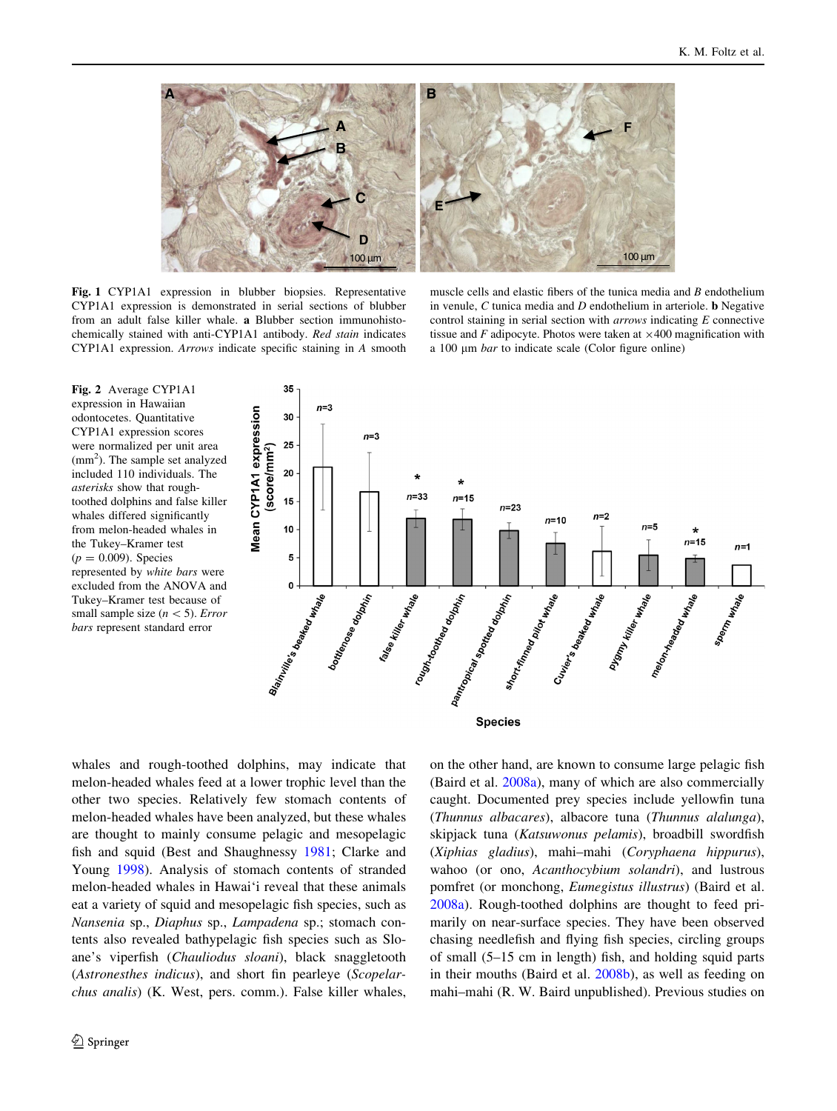<span id="page-5-0"></span>

Fig. 1 CYP1A1 expression in blubber biopsies. Representative CYP1A1 expression is demonstrated in serial sections of blubber from an adult false killer whale. a Blubber section immunohistochemically stained with anti-CYP1A1 antibody. Red stain indicates CYP1A1 expression. Arrows indicate specific staining in A smooth

muscle cells and elastic fibers of the tunica media and  $B$  endothelium in venule,  $C$  tunica media and  $D$  endothelium in arteriole. **b** Negative control staining in serial section with arrows indicating E connective tissue and F adipocyte. Photos were taken at  $\times$ 400 magnification with a 100 um *bar* to indicate scale (Color figure online)

Fig. 2 Average CYP1A1 expression in Hawaiian odontocetes. Quantitative CYP1A1 expression scores were normalized per unit area (mm<sup>2</sup>). The sample set analyzed included 110 individuals. The asterisks show that roughtoothed dolphins and false killer whales differed significantly from melon-headed whales in the Tukey–Kramer test  $(p = 0.009)$ . Species represented by white bars were excluded from the ANOVA and Tukey–Kramer test because of small sample size ( $n < 5$ ). Error bars represent standard error



whales and rough-toothed dolphins, may indicate that melon-headed whales feed at a lower trophic level than the other two species. Relatively few stomach contents of melon-headed whales have been analyzed, but these whales are thought to mainly consume pelagic and mesopelagic fish and squid (Best and Shaughnessy [1981](#page-9-0); Clarke and Young [1998\)](#page-10-0). Analysis of stomach contents of stranded melon-headed whales in Hawai'i reveal that these animals eat a variety of squid and mesopelagic fish species, such as Nansenia sp., Diaphus sp., Lampadena sp.; stomach contents also revealed bathypelagic fish species such as Sloane's viperfish (Chauliodus sloani), black snaggletooth (Astronesthes indicus), and short fin pearleye (Scopelarchus analis) (K. West, pers. comm.). False killer whales, on the other hand, are known to consume large pelagic fish (Baird et al. [2008a](#page-9-0)), many of which are also commercially caught. Documented prey species include yellowfin tuna (Thunnus albacares), albacore tuna (Thunnus alalunga), skipjack tuna (Katsuwonus pelamis), broadbill swordfish (Xiphias gladius), mahi–mahi (Coryphaena hippurus), wahoo (or ono, Acanthocybium solandri), and lustrous pomfret (or monchong, Eumegistus illustrus) (Baird et al. [2008a\)](#page-9-0). Rough-toothed dolphins are thought to feed primarily on near-surface species. They have been observed chasing needlefish and flying fish species, circling groups of small (5–15 cm in length) fish, and holding squid parts in their mouths (Baird et al. [2008b\)](#page-9-0), as well as feeding on mahi–mahi (R. W. Baird unpublished). Previous studies on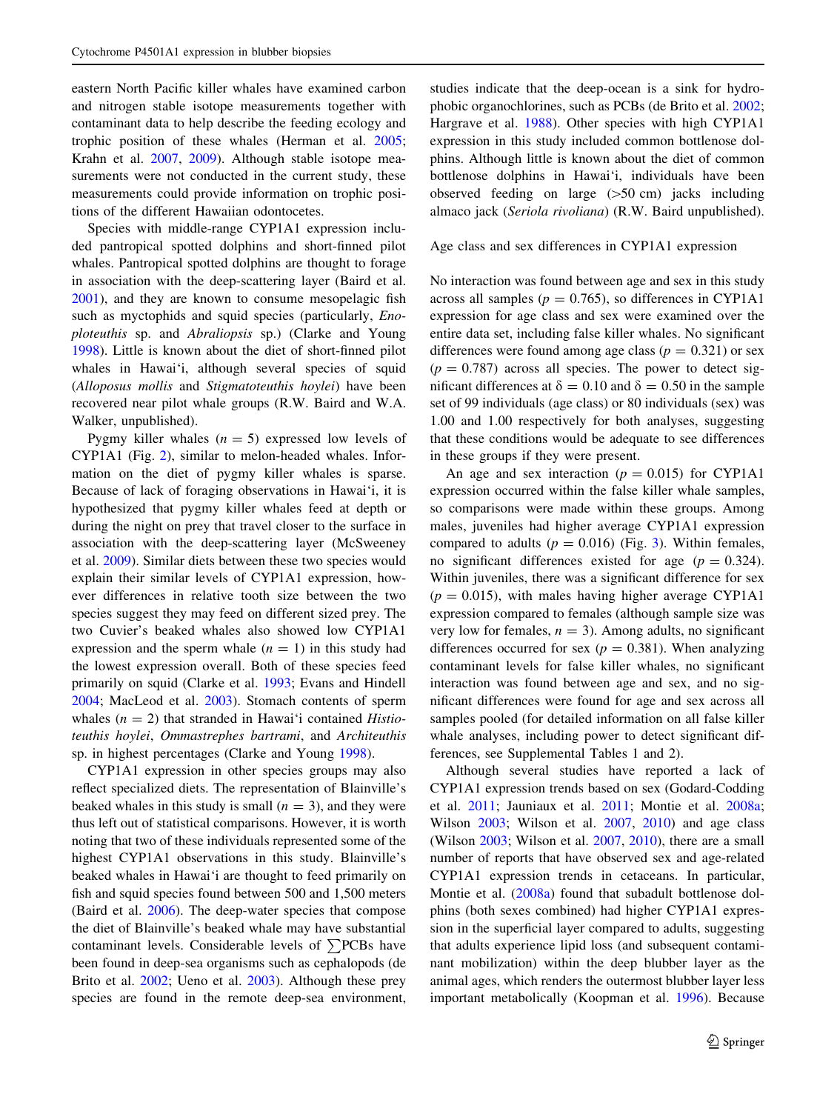eastern North Pacific killer whales have examined carbon and nitrogen stable isotope measurements together with contaminant data to help describe the feeding ecology and trophic position of these whales (Herman et al. [2005](#page-10-0); Krahn et al. [2007](#page-10-0), [2009](#page-10-0)). Although stable isotope measurements were not conducted in the current study, these measurements could provide information on trophic positions of the different Hawaiian odontocetes.

Species with middle-range CYP1A1 expression included pantropical spotted dolphins and short-finned pilot whales. Pantropical spotted dolphins are thought to forage in association with the deep-scattering layer (Baird et al. [2001\)](#page-9-0), and they are known to consume mesopelagic fish such as myctophids and squid species (particularly, *Eno*ploteuthis sp. and Abraliopsis sp.) (Clarke and Young [1998\)](#page-10-0). Little is known about the diet of short-finned pilot whales in Hawai'i, although several species of squid (Alloposus mollis and Stigmatoteuthis hoylei) have been recovered near pilot whale groups (R.W. Baird and W.A. Walker, unpublished).

Pygmy killer whales  $(n = 5)$  expressed low levels of CYP1A1 (Fig. [2\)](#page-5-0), similar to melon-headed whales. Information on the diet of pygmy killer whales is sparse. Because of lack of foraging observations in Hawai'i, it is hypothesized that pygmy killer whales feed at depth or during the night on prey that travel closer to the surface in association with the deep-scattering layer (McSweeney et al. [2009](#page-10-0)). Similar diets between these two species would explain their similar levels of CYP1A1 expression, however differences in relative tooth size between the two species suggest they may feed on different sized prey. The two Cuvier's beaked whales also showed low CYP1A1 expression and the sperm whale  $(n = 1)$  in this study had the lowest expression overall. Both of these species feed primarily on squid (Clarke et al. [1993](#page-10-0); Evans and Hindell [2004;](#page-10-0) MacLeod et al. [2003\)](#page-10-0). Stomach contents of sperm whales  $(n = 2)$  that stranded in Hawai'i contained *Histio*teuthis hoylei, Ommastrephes bartrami, and Architeuthis sp. in highest percentages (Clarke and Young [1998](#page-10-0)).

CYP1A1 expression in other species groups may also reflect specialized diets. The representation of Blainville's beaked whales in this study is small  $(n = 3)$ , and they were thus left out of statistical comparisons. However, it is worth noting that two of these individuals represented some of the highest CYP1A1 observations in this study. Blainville's beaked whales in Hawai'i are thought to feed primarily on fish and squid species found between 500 and 1,500 meters (Baird et al. [2006\)](#page-9-0). The deep-water species that compose the diet of Blainville's beaked whale may have substantial contaminant levels. Considerable levels of  $\sum$ PCBs have been found in deep-sea organisms such as cephalopods (de Brito et al. [2002;](#page-10-0) Ueno et al. [2003](#page-11-0)). Although these prey species are found in the remote deep-sea environment, studies indicate that the deep-ocean is a sink for hydrophobic organochlorines, such as PCBs (de Brito et al. [2002](#page-10-0); Hargrave et al. [1988](#page-10-0)). Other species with high CYP1A1 expression in this study included common bottlenose dolphins. Although little is known about the diet of common bottlenose dolphins in Hawai'i, individuals have been observed feeding on large  $(>50 \text{ cm})$  jacks including almaco jack (Seriola rivoliana) (R.W. Baird unpublished).

## Age class and sex differences in CYP1A1 expression

No interaction was found between age and sex in this study across all samples ( $p = 0.765$ ), so differences in CYP1A1 expression for age class and sex were examined over the entire data set, including false killer whales. No significant differences were found among age class ( $p = 0.321$ ) or sex  $(p = 0.787)$  across all species. The power to detect significant differences at  $\delta = 0.10$  and  $\delta = 0.50$  in the sample set of 99 individuals (age class) or 80 individuals (sex) was 1.00 and 1.00 respectively for both analyses, suggesting that these conditions would be adequate to see differences in these groups if they were present.

An age and sex interaction ( $p = 0.015$ ) for CYP1A1 expression occurred within the false killer whale samples, so comparisons were made within these groups. Among males, juveniles had higher average CYP1A1 expression compared to adults ( $p = 0.016$ ) (Fig. [3](#page-7-0)). Within females, no significant differences existed for age  $(p = 0.324)$ . Within juveniles, there was a significant difference for sex  $(p = 0.015)$ , with males having higher average CYP1A1 expression compared to females (although sample size was very low for females,  $n = 3$ ). Among adults, no significant differences occurred for sex ( $p = 0.381$ ). When analyzing contaminant levels for false killer whales, no significant interaction was found between age and sex, and no significant differences were found for age and sex across all samples pooled (for detailed information on all false killer whale analyses, including power to detect significant differences, see Supplemental Tables 1 and 2).

Although several studies have reported a lack of CYP1A1 expression trends based on sex (Godard-Codding et al. [2011](#page-10-0); Jauniaux et al. [2011](#page-10-0); Montie et al. [2008a](#page-11-0); Wilson [2003](#page-11-0); Wilson et al. [2007,](#page-11-0) [2010](#page-11-0)) and age class (Wilson [2003](#page-11-0); Wilson et al. [2007](#page-11-0), [2010\)](#page-11-0), there are a small number of reports that have observed sex and age-related CYP1A1 expression trends in cetaceans. In particular, Montie et al. [\(2008a\)](#page-11-0) found that subadult bottlenose dolphins (both sexes combined) had higher CYP1A1 expression in the superficial layer compared to adults, suggesting that adults experience lipid loss (and subsequent contaminant mobilization) within the deep blubber layer as the animal ages, which renders the outermost blubber layer less important metabolically (Koopman et al. [1996\)](#page-10-0). Because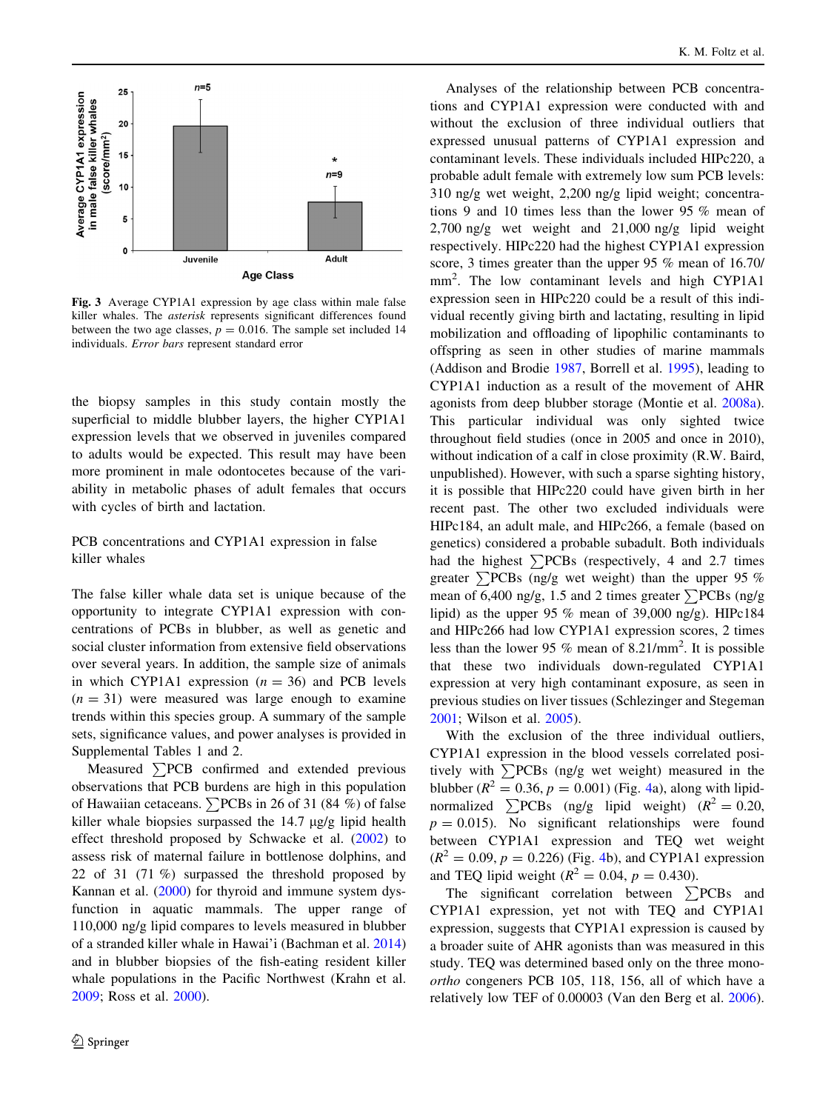<span id="page-7-0"></span>

Fig. 3 Average CYP1A1 expression by age class within male false killer whales. The asterisk represents significant differences found between the two age classes,  $p = 0.016$ . The sample set included 14 individuals. Error bars represent standard error

the biopsy samples in this study contain mostly the superficial to middle blubber layers, the higher CYP1A1 expression levels that we observed in juveniles compared to adults would be expected. This result may have been more prominent in male odontocetes because of the variability in metabolic phases of adult females that occurs with cycles of birth and lactation.

## PCB concentrations and CYP1A1 expression in false killer whales

The false killer whale data set is unique because of the opportunity to integrate CYP1A1 expression with concentrations of PCBs in blubber, as well as genetic and social cluster information from extensive field observations over several years. In addition, the sample size of animals in which CYP1A1 expression  $(n = 36)$  and PCB levels  $(n = 31)$  were measured was large enough to examine trends within this species group. A summary of the sample sets, significance values, and power analyses is provided in Supplemental Tables 1 and 2.

Measured  $\sum$ PCB confirmed and extended previous observations that PCB burdens are high in this population of Hawaiian cetaceans.  $\sum$ PCBs in 26 of 31 (84 %) of false killer whale biopsies surpassed the  $14.7 \mu g/g$  lipid health effect threshold proposed by Schwacke et al. [\(2002](#page-11-0)) to assess risk of maternal failure in bottlenose dolphins, and 22 of 31 (71 %) surpassed the threshold proposed by Kannan et al. ([2000\)](#page-10-0) for thyroid and immune system dysfunction in aquatic mammals. The upper range of 110,000 ng/g lipid compares to levels measured in blubber of a stranded killer whale in Hawai'i (Bachman et al. [2014\)](#page-9-0) and in blubber biopsies of the fish-eating resident killer whale populations in the Pacific Northwest (Krahn et al. [2009;](#page-10-0) Ross et al. [2000](#page-11-0)).

Analyses of the relationship between PCB concentrations and CYP1A1 expression were conducted with and without the exclusion of three individual outliers that expressed unusual patterns of CYP1A1 expression and contaminant levels. These individuals included HIPc220, a probable adult female with extremely low sum PCB levels: 310 ng/g wet weight, 2,200 ng/g lipid weight; concentrations 9 and 10 times less than the lower 95 % mean of 2,700 ng/g wet weight and 21,000 ng/g lipid weight respectively. HIPc220 had the highest CYP1A1 expression score, 3 times greater than the upper 95 % mean of 16.70/ mm<sup>2</sup> . The low contaminant levels and high CYP1A1 expression seen in HIPc220 could be a result of this individual recently giving birth and lactating, resulting in lipid mobilization and offloading of lipophilic contaminants to offspring as seen in other studies of marine mammals (Addison and Brodie [1987](#page-9-0), Borrell et al. [1995\)](#page-9-0), leading to CYP1A1 induction as a result of the movement of AHR agonists from deep blubber storage (Montie et al. [2008a](#page-11-0)). This particular individual was only sighted twice throughout field studies (once in 2005 and once in 2010), without indication of a calf in close proximity (R.W. Baird, unpublished). However, with such a sparse sighting history, it is possible that HIPc220 could have given birth in her recent past. The other two excluded individuals were HIPc184, an adult male, and HIPc266, a female (based on genetics) considered a probable subadult. Both individuals had the highest  $\sum$ PCBs (respectively, 4 and 2.7 times greater  $\sum$ PCBs (ng/g wet weight) than the upper 95 % mean of 6,400 ng/g, 1.5 and 2 times greater  $\sum$ PCBs (ng/g lipid) as the upper 95 % mean of 39,000 ng/g). HIPc184 and HIPc266 had low CYP1A1 expression scores, 2 times less than the lower 95 % mean of  $8.21/\text{mm}^2$ . It is possible that these two individuals down-regulated CYP1A1 expression at very high contaminant exposure, as seen in previous studies on liver tissues (Schlezinger and Stegeman [2001](#page-11-0); Wilson et al. [2005](#page-11-0)).

With the exclusion of the three individual outliers, CYP1A1 expression in the blood vessels correlated positively with  $\sum$ PCBs (ng/g wet weight) measured in the blubber ( $R^2 = 0.36$ ,  $p = 0.001$ ) (Fig. [4](#page-8-0)a), along with lipidnormalized  $\sum$ PCBs (ng/g lipid weight) ( $R^2 = 0.20$ ,  $p = 0.015$ . No significant relationships were found between CYP1A1 expression and TEQ wet weight  $(R^{2} = 0.09, p = 0.226)$  (Fig. [4b](#page-8-0)), and CYP1A1 expression and TEQ lipid weight ( $R^2 = 0.04$ ,  $p = 0.430$ ).

The significant correlation between  $\sum$ PCBs and CYP1A1 expression, yet not with TEQ and CYP1A1 expression, suggests that CYP1A1 expression is caused by a broader suite of AHR agonists than was measured in this study. TEQ was determined based only on the three monoortho congeners PCB 105, 118, 156, all of which have a relatively low TEF of 0.00003 (Van den Berg et al. [2006](#page-11-0)).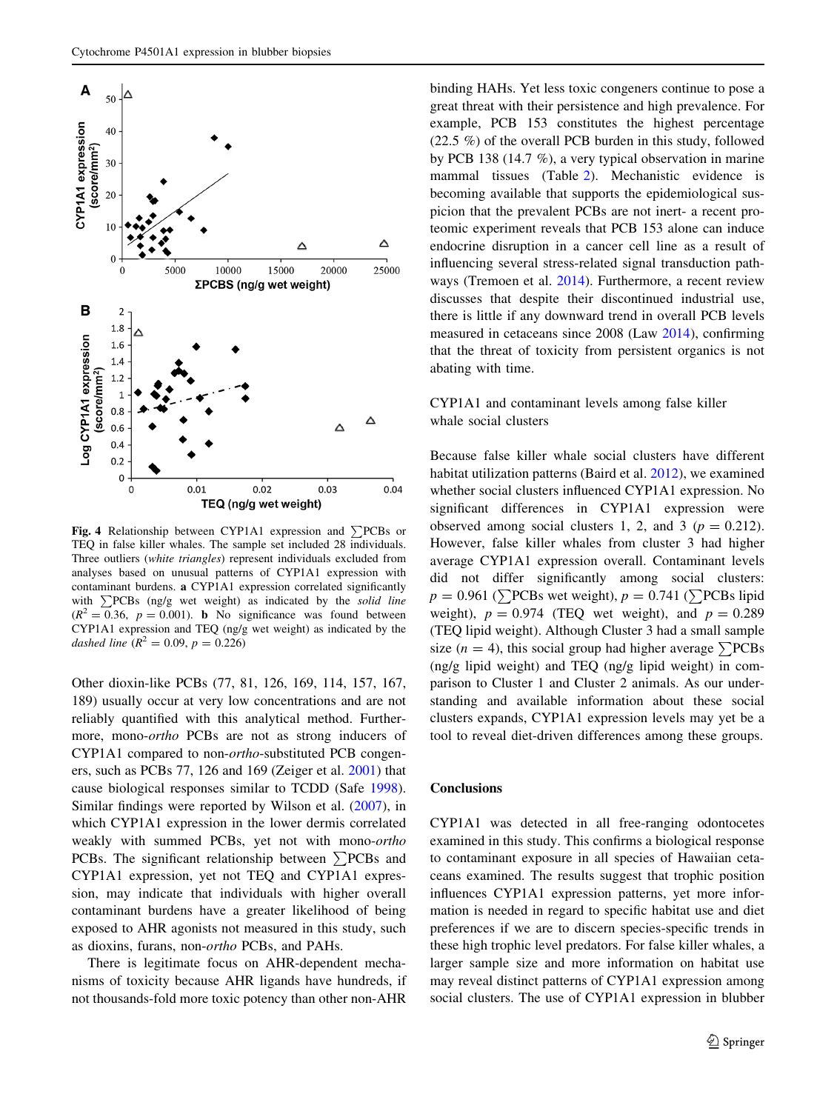<span id="page-8-0"></span>

Fig. 4 Relationship between CYP1A1 expression and  $\Sigma$ PCBs or TEQ in false killer whales. The sample set included 28 individuals. Three outliers (white triangles) represent individuals excluded from analyses based on unusual patterns of CYP1A1 expression with contaminant burdens. a CYP1A1 expression correlated significantly with  $\sum$ PCBs (ng/g wet weight) as indicated by the solid line  $(R^2 = 0.36, p = 0.001)$ . **b** No significance was found between CYP1A1 expression and TEQ (ng/g wet weight) as indicated by the dashed line  $(R^2 = 0.09, p = 0.226)$ 

Other dioxin-like PCBs (77, 81, 126, 169, 114, 157, 167, 189) usually occur at very low concentrations and are not reliably quantified with this analytical method. Furthermore, mono-ortho PCBs are not as strong inducers of CYP1A1 compared to non-ortho-substituted PCB congeners, such as PCBs 77, 126 and 169 (Zeiger et al. [2001\)](#page-11-0) that cause biological responses similar to TCDD (Safe [1998](#page-11-0)). Similar findings were reported by Wilson et al. [\(2007](#page-11-0)), in which CYP1A1 expression in the lower dermis correlated weakly with summed PCBs, yet not with mono-ortho PCBs. The significant relationship between  $\sum$ PCBs and CYP1A1 expression, yet not TEQ and CYP1A1 expression, may indicate that individuals with higher overall contaminant burdens have a greater likelihood of being exposed to AHR agonists not measured in this study, such as dioxins, furans, non-ortho PCBs, and PAHs.

There is legitimate focus on AHR-dependent mechanisms of toxicity because AHR ligands have hundreds, if not thousands-fold more toxic potency than other non-AHR

binding HAHs. Yet less toxic congeners continue to pose a great threat with their persistence and high prevalence. For example, PCB 153 constitutes the highest percentage (22.5 %) of the overall PCB burden in this study, followed by PCB 138 (14.7 %), a very typical observation in marine mammal tissues (Table [2](#page-3-0)). Mechanistic evidence is becoming available that supports the epidemiological suspicion that the prevalent PCBs are not inert- a recent proteomic experiment reveals that PCB 153 alone can induce endocrine disruption in a cancer cell line as a result of influencing several stress-related signal transduction pathways (Tremoen et al. [2014](#page-11-0)). Furthermore, a recent review discusses that despite their discontinued industrial use, there is little if any downward trend in overall PCB levels measured in cetaceans since 2008 (Law [2014](#page-10-0)), confirming that the threat of toxicity from persistent organics is not abating with time.

## CYP1A1 and contaminant levels among false killer whale social clusters

Because false killer whale social clusters have different habitat utilization patterns (Baird et al. [2012\)](#page-9-0), we examined whether social clusters influenced CYP1A1 expression. No significant differences in CYP1A1 expression were observed among social clusters 1, 2, and 3 ( $p = 0.212$ ). However, false killer whales from cluster 3 had higher average CYP1A1 expression overall. Contaminant levels did not differ significantly among social clusters:  $p = 0.961$  ( $\sum$ PCBs wet weight),  $p = 0.741$  ( $\sum$ PCBs lipid weight),  $p = 0.974$  (TEQ wet weight), and  $p = 0.289$ (TEQ lipid weight). Although Cluster 3 had a small sample size (*n* = 4), this social group had higher average  $\sum$ PCBs (ng/g lipid weight) and TEQ (ng/g lipid weight) in comparison to Cluster 1 and Cluster 2 animals. As our understanding and available information about these social clusters expands, CYP1A1 expression levels may yet be a tool to reveal diet-driven differences among these groups.

## **Conclusions**

CYP1A1 was detected in all free-ranging odontocetes examined in this study. This confirms a biological response to contaminant exposure in all species of Hawaiian cetaceans examined. The results suggest that trophic position influences CYP1A1 expression patterns, yet more information is needed in regard to specific habitat use and diet preferences if we are to discern species-specific trends in these high trophic level predators. For false killer whales, a larger sample size and more information on habitat use may reveal distinct patterns of CYP1A1 expression among social clusters. The use of CYP1A1 expression in blubber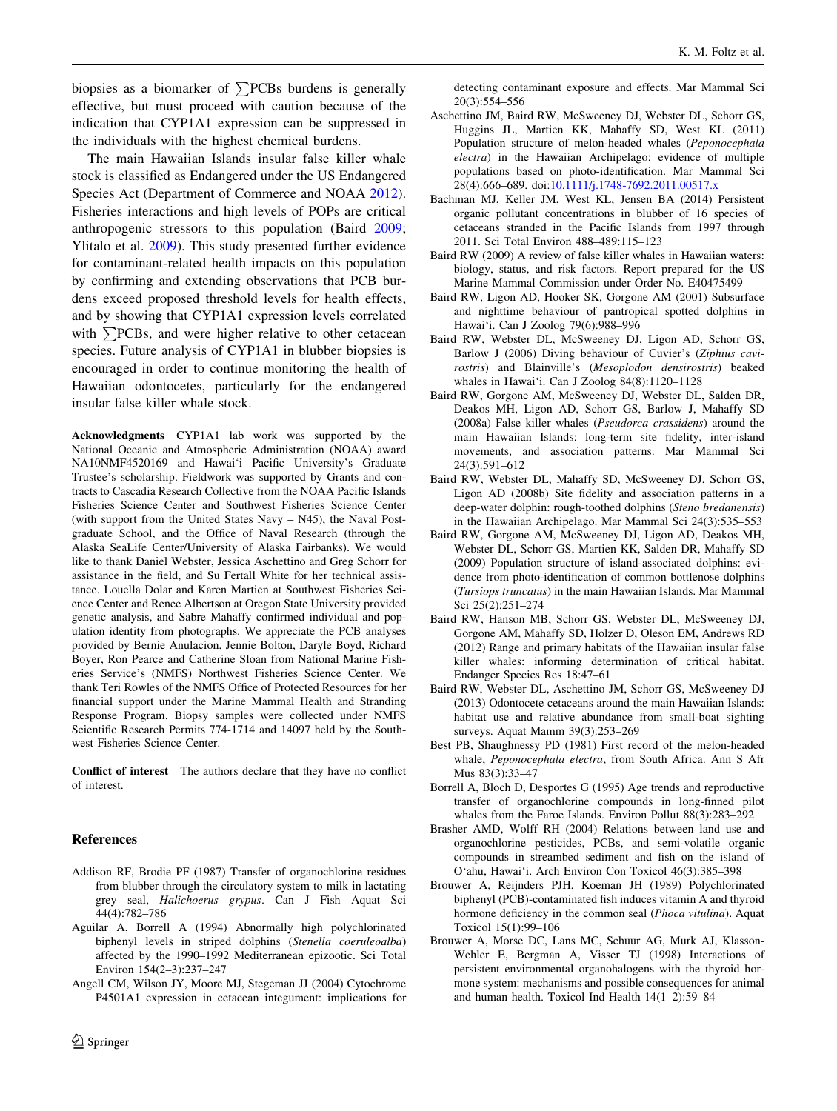<span id="page-9-0"></span>biopsies as a biomarker of  $\sum$ PCBs burdens is generally effective, but must proceed with caution because of the indication that CYP1A1 expression can be suppressed in the individuals with the highest chemical burdens.

The main Hawaiian Islands insular false killer whale stock is classified as Endangered under the US Endangered Species Act (Department of Commerce and NOAA [2012](#page-10-0)). Fisheries interactions and high levels of POPs are critical anthropogenic stressors to this population (Baird 2009; Ylitalo et al. [2009\)](#page-11-0). This study presented further evidence for contaminant-related health impacts on this population by confirming and extending observations that PCB burdens exceed proposed threshold levels for health effects, and by showing that CYP1A1 expression levels correlated with  $\sum$ PCBs, and were higher relative to other cetacean species. Future analysis of CYP1A1 in blubber biopsies is encouraged in order to continue monitoring the health of Hawaiian odontocetes, particularly for the endangered insular false killer whale stock.

Acknowledgments CYP1A1 lab work was supported by the National Oceanic and Atmospheric Administration (NOAA) award NA10NMF4520169 and Hawai'i Pacific University's Graduate Trustee's scholarship. Fieldwork was supported by Grants and contracts to Cascadia Research Collective from the NOAA Pacific Islands Fisheries Science Center and Southwest Fisheries Science Center (with support from the United States Navy – N45), the Naval Postgraduate School, and the Office of Naval Research (through the Alaska SeaLife Center/University of Alaska Fairbanks). We would like to thank Daniel Webster, Jessica Aschettino and Greg Schorr for assistance in the field, and Su Fertall White for her technical assistance. Louella Dolar and Karen Martien at Southwest Fisheries Science Center and Renee Albertson at Oregon State University provided genetic analysis, and Sabre Mahaffy confirmed individual and population identity from photographs. We appreciate the PCB analyses provided by Bernie Anulacion, Jennie Bolton, Daryle Boyd, Richard Boyer, Ron Pearce and Catherine Sloan from National Marine Fisheries Service's (NMFS) Northwest Fisheries Science Center. We thank Teri Rowles of the NMFS Office of Protected Resources for her financial support under the Marine Mammal Health and Stranding Response Program. Biopsy samples were collected under NMFS Scientific Research Permits 774-1714 and 14097 held by the Southwest Fisheries Science Center.

Conflict of interest The authors declare that they have no conflict of interest.

#### References

- Addison RF, Brodie PF (1987) Transfer of organochlorine residues from blubber through the circulatory system to milk in lactating grey seal, Halichoerus grypus. Can J Fish Aquat Sci 44(4):782–786
- Aguilar A, Borrell A (1994) Abnormally high polychlorinated biphenyl levels in striped dolphins (Stenella coeruleoalba) affected by the 1990–1992 Mediterranean epizootic. Sci Total Environ 154(2–3):237–247
- Angell CM, Wilson JY, Moore MJ, Stegeman JJ (2004) Cytochrome P4501A1 expression in cetacean integument: implications for

detecting contaminant exposure and effects. Mar Mammal Sci 20(3):554–556

- Aschettino JM, Baird RW, McSweeney DJ, Webster DL, Schorr GS, Huggins JL, Martien KK, Mahaffy SD, West KL (2011) Population structure of melon-headed whales (Peponocephala electra) in the Hawaiian Archipelago: evidence of multiple populations based on photo-identification. Mar Mammal Sci 28(4):666–689. doi:[10.1111/j.1748-7692.2011.00517.x](http://dx.doi.org/10.1111/j.1748-7692.2011.00517.x)
- Bachman MJ, Keller JM, West KL, Jensen BA (2014) Persistent organic pollutant concentrations in blubber of 16 species of cetaceans stranded in the Pacific Islands from 1997 through 2011. Sci Total Environ 488–489:115–123
- Baird RW (2009) A review of false killer whales in Hawaiian waters: biology, status, and risk factors. Report prepared for the US Marine Mammal Commission under Order No. E40475499
- Baird RW, Ligon AD, Hooker SK, Gorgone AM (2001) Subsurface and nighttime behaviour of pantropical spotted dolphins in Hawai'i. Can J Zoolog 79(6):988–996
- Baird RW, Webster DL, McSweeney DJ, Ligon AD, Schorr GS, Barlow J (2006) Diving behaviour of Cuvier's (Ziphius cavirostris) and Blainville's (Mesoplodon densirostris) beaked whales in Hawai'i. Can J Zoolog 84(8):1120–1128
- Baird RW, Gorgone AM, McSweeney DJ, Webster DL, Salden DR, Deakos MH, Ligon AD, Schorr GS, Barlow J, Mahaffy SD (2008a) False killer whales (Pseudorca crassidens) around the main Hawaiian Islands: long-term site fidelity, inter-island movements, and association patterns. Mar Mammal Sci 24(3):591–612
- Baird RW, Webster DL, Mahaffy SD, McSweeney DJ, Schorr GS, Ligon AD (2008b) Site fidelity and association patterns in a deep-water dolphin: rough-toothed dolphins (Steno bredanensis) in the Hawaiian Archipelago. Mar Mammal Sci 24(3):535–553
- Baird RW, Gorgone AM, McSweeney DJ, Ligon AD, Deakos MH, Webster DL, Schorr GS, Martien KK, Salden DR, Mahaffy SD (2009) Population structure of island-associated dolphins: evidence from photo-identification of common bottlenose dolphins (Tursiops truncatus) in the main Hawaiian Islands. Mar Mammal Sci 25(2):251–274
- Baird RW, Hanson MB, Schorr GS, Webster DL, McSweeney DJ, Gorgone AM, Mahaffy SD, Holzer D, Oleson EM, Andrews RD (2012) Range and primary habitats of the Hawaiian insular false killer whales: informing determination of critical habitat. Endanger Species Res 18:47–61
- Baird RW, Webster DL, Aschettino JM, Schorr GS, McSweeney DJ (2013) Odontocete cetaceans around the main Hawaiian Islands: habitat use and relative abundance from small-boat sighting surveys. Aquat Mamm 39(3):253–269
- Best PB, Shaughnessy PD (1981) First record of the melon-headed whale, Peponocephala electra, from South Africa. Ann S Afr Mus 83(3):33–47
- Borrell A, Bloch D, Desportes G (1995) Age trends and reproductive transfer of organochlorine compounds in long-finned pilot whales from the Faroe Islands. Environ Pollut 88(3):283–292
- Brasher AMD, Wolff RH (2004) Relations between land use and organochlorine pesticides, PCBs, and semi-volatile organic compounds in streambed sediment and fish on the island of O'ahu, Hawai'i. Arch Environ Con Toxicol 46(3):385–398
- Brouwer A, Reijnders PJH, Koeman JH (1989) Polychlorinated biphenyl (PCB)-contaminated fish induces vitamin A and thyroid hormone deficiency in the common seal (Phoca vitulina). Aquat Toxicol 15(1):99–106
- Brouwer A, Morse DC, Lans MC, Schuur AG, Murk AJ, Klasson-Wehler E, Bergman A, Visser TJ (1998) Interactions of persistent environmental organohalogens with the thyroid hormone system: mechanisms and possible consequences for animal and human health. Toxicol Ind Health 14(1–2):59–84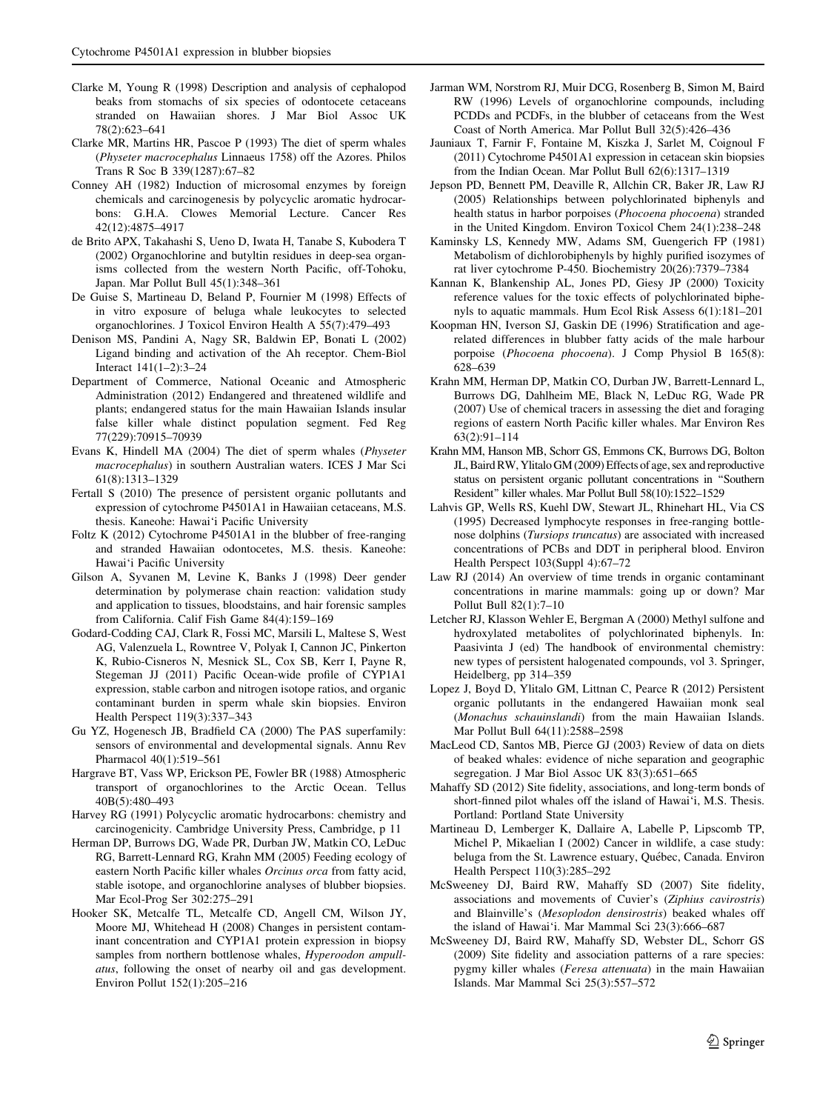- <span id="page-10-0"></span>Clarke M, Young R (1998) Description and analysis of cephalopod beaks from stomachs of six species of odontocete cetaceans stranded on Hawaiian shores. J Mar Biol Assoc UK 78(2):623–641
- Clarke MR, Martins HR, Pascoe P (1993) The diet of sperm whales (Physeter macrocephalus Linnaeus 1758) off the Azores. Philos Trans R Soc B 339(1287):67–82
- Conney AH (1982) Induction of microsomal enzymes by foreign chemicals and carcinogenesis by polycyclic aromatic hydrocarbons: G.H.A. Clowes Memorial Lecture. Cancer Res 42(12):4875–4917
- de Brito APX, Takahashi S, Ueno D, Iwata H, Tanabe S, Kubodera T (2002) Organochlorine and butyltin residues in deep-sea organisms collected from the western North Pacific, off-Tohoku, Japan. Mar Pollut Bull 45(1):348–361
- De Guise S, Martineau D, Beland P, Fournier M (1998) Effects of in vitro exposure of beluga whale leukocytes to selected organochlorines. J Toxicol Environ Health A 55(7):479–493
- Denison MS, Pandini A, Nagy SR, Baldwin EP, Bonati L (2002) Ligand binding and activation of the Ah receptor. Chem-Biol Interact 141(1–2):3–24
- Department of Commerce, National Oceanic and Atmospheric Administration (2012) Endangered and threatened wildlife and plants; endangered status for the main Hawaiian Islands insular false killer whale distinct population segment. Fed Reg 77(229):70915–70939
- Evans K, Hindell MA (2004) The diet of sperm whales (Physeter macrocephalus) in southern Australian waters. ICES J Mar Sci 61(8):1313–1329
- Fertall S (2010) The presence of persistent organic pollutants and expression of cytochrome P4501A1 in Hawaiian cetaceans, M.S. thesis. Kaneohe: Hawai'i Pacific University
- Foltz K (2012) Cytochrome P4501A1 in the blubber of free-ranging and stranded Hawaiian odontocetes, M.S. thesis. Kaneohe: Hawai'i Pacific University
- Gilson A, Syvanen M, Levine K, Banks J (1998) Deer gender determination by polymerase chain reaction: validation study and application to tissues, bloodstains, and hair forensic samples from California. Calif Fish Game 84(4):159–169
- Godard-Codding CAJ, Clark R, Fossi MC, Marsili L, Maltese S, West AG, Valenzuela L, Rowntree V, Polyak I, Cannon JC, Pinkerton K, Rubio-Cisneros N, Mesnick SL, Cox SB, Kerr I, Payne R, Stegeman JJ (2011) Pacific Ocean-wide profile of CYP1A1 expression, stable carbon and nitrogen isotope ratios, and organic contaminant burden in sperm whale skin biopsies. Environ Health Perspect 119(3):337–343
- Gu YZ, Hogenesch JB, Bradfield CA (2000) The PAS superfamily: sensors of environmental and developmental signals. Annu Rev Pharmacol 40(1):519–561
- Hargrave BT, Vass WP, Erickson PE, Fowler BR (1988) Atmospheric transport of organochlorines to the Arctic Ocean. Tellus 40B(5):480–493
- Harvey RG (1991) Polycyclic aromatic hydrocarbons: chemistry and carcinogenicity. Cambridge University Press, Cambridge, p 11
- Herman DP, Burrows DG, Wade PR, Durban JW, Matkin CO, LeDuc RG, Barrett-Lennard RG, Krahn MM (2005) Feeding ecology of eastern North Pacific killer whales Orcinus orca from fatty acid, stable isotope, and organochlorine analyses of blubber biopsies. Mar Ecol-Prog Ser 302:275–291
- Hooker SK, Metcalfe TL, Metcalfe CD, Angell CM, Wilson JY, Moore MJ, Whitehead H (2008) Changes in persistent contaminant concentration and CYP1A1 protein expression in biopsy samples from northern bottlenose whales, Hyperoodon ampullatus, following the onset of nearby oil and gas development. Environ Pollut 152(1):205–216
- Jarman WM, Norstrom RJ, Muir DCG, Rosenberg B, Simon M, Baird RW (1996) Levels of organochlorine compounds, including PCDDs and PCDFs, in the blubber of cetaceans from the West Coast of North America. Mar Pollut Bull 32(5):426–436
- Jauniaux T, Farnir F, Fontaine M, Kiszka J, Sarlet M, Coignoul F (2011) Cytochrome P4501A1 expression in cetacean skin biopsies from the Indian Ocean. Mar Pollut Bull 62(6):1317–1319
- Jepson PD, Bennett PM, Deaville R, Allchin CR, Baker JR, Law RJ (2005) Relationships between polychlorinated biphenyls and health status in harbor porpoises (Phocoena phocoena) stranded in the United Kingdom. Environ Toxicol Chem 24(1):238–248
- Kaminsky LS, Kennedy MW, Adams SM, Guengerich FP (1981) Metabolism of dichlorobiphenyls by highly purified isozymes of rat liver cytochrome P-450. Biochemistry 20(26):7379–7384
- Kannan K, Blankenship AL, Jones PD, Giesy JP (2000) Toxicity reference values for the toxic effects of polychlorinated biphenyls to aquatic mammals. Hum Ecol Risk Assess 6(1):181–201
- Koopman HN, Iverson SJ, Gaskin DE (1996) Stratification and agerelated differences in blubber fatty acids of the male harbour porpoise (Phocoena phocoena). J Comp Physiol B 165(8): 628–639
- Krahn MM, Herman DP, Matkin CO, Durban JW, Barrett-Lennard L, Burrows DG, Dahlheim ME, Black N, LeDuc RG, Wade PR (2007) Use of chemical tracers in assessing the diet and foraging regions of eastern North Pacific killer whales. Mar Environ Res 63(2):91–114
- Krahn MM, Hanson MB, Schorr GS, Emmons CK, Burrows DG, Bolton JL, Baird RW, Ylitalo GM (2009) Effects of age, sex and reproductive status on persistent organic pollutant concentrations in ''Southern Resident'' killer whales. Mar Pollut Bull 58(10):1522–1529
- Lahvis GP, Wells RS, Kuehl DW, Stewart JL, Rhinehart HL, Via CS (1995) Decreased lymphocyte responses in free-ranging bottlenose dolphins (Tursiops truncatus) are associated with increased concentrations of PCBs and DDT in peripheral blood. Environ Health Perspect 103(Suppl 4):67–72
- Law RJ (2014) An overview of time trends in organic contaminant concentrations in marine mammals: going up or down? Mar Pollut Bull 82(1):7–10
- Letcher RJ, Klasson Wehler E, Bergman A (2000) Methyl sulfone and hydroxylated metabolites of polychlorinated biphenyls. In: Paasivinta J (ed) The handbook of environmental chemistry: new types of persistent halogenated compounds, vol 3. Springer, Heidelberg, pp 314–359
- Lopez J, Boyd D, Ylitalo GM, Littnan C, Pearce R (2012) Persistent organic pollutants in the endangered Hawaiian monk seal (Monachus schauinslandi) from the main Hawaiian Islands. Mar Pollut Bull 64(11):2588–2598
- MacLeod CD, Santos MB, Pierce GJ (2003) Review of data on diets of beaked whales: evidence of niche separation and geographic segregation. J Mar Biol Assoc UK 83(3):651–665
- Mahaffy SD (2012) Site fidelity, associations, and long-term bonds of short-finned pilot whales off the island of Hawai'i, M.S. Thesis. Portland: Portland State University
- Martineau D, Lemberger K, Dallaire A, Labelle P, Lipscomb TP, Michel P, Mikaelian I (2002) Cancer in wildlife, a case study: beluga from the St. Lawrence estuary, Québec, Canada. Environ Health Perspect 110(3):285–292
- McSweeney DJ, Baird RW, Mahaffy SD (2007) Site fidelity, associations and movements of Cuvier's (Ziphius cavirostris) and Blainville's (Mesoplodon densirostris) beaked whales off the island of Hawai'i. Mar Mammal Sci 23(3):666–687
- McSweeney DJ, Baird RW, Mahaffy SD, Webster DL, Schorr GS (2009) Site fidelity and association patterns of a rare species: pygmy killer whales (Feresa attenuata) in the main Hawaiian Islands. Mar Mammal Sci 25(3):557–572